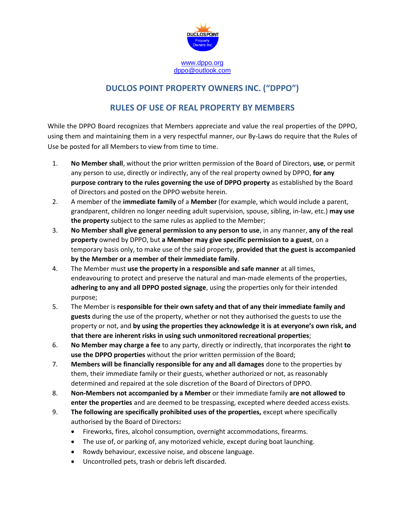

## **DUCLOS POINT PROPERTY OWNERS INC. ("DPPO")**

## **RULES OF USE OF REAL PROPERTY BY MEMBERS**

While the DPPO Board recognizes that Members appreciate and value the real properties of the DPPO, using them and maintaining them in a very respectful manner, our By-Laws do require that the Rules of Use be posted for all Members to view from time to time.

- 1. **No Member shall**, without the prior written permission of the Board of Directors, **use**, or permit any person to use, directly or indirectly, any of the real property owned by DPPO, **for any purpose contrary to the rules governing the use of DPPO property** as established by the Board of Directors and posted on the DPPO website herein.
- 2. A member of the **immediate family** of a **Member** (for example, which would include a parent, grandparent, children no longer needing adult supervision, spouse, sibling, in-law, etc.) **may use the property** subject to the same rules as applied to the Member;
- 3. **No Member shall give general permission to any person to use**, in any manner, **any of the real property** owned by DPPO, but **a Member may give specific permission to a guest**, on a temporary basis only, to make use of the said property, **provided that the guest is accompanied by the Member or a member of their immediate family**.
- 4. The Member must **use the property in a responsible and safe manner** at all times, endeavouring to protect and preserve the natural and man-made elements of the properties, **adhering to any and all DPPO posted signage**, using the properties only for their intended purpose;
- 5. The Member is **responsible for their own safety and that of any their immediate family and guests** during the use of the property, whether or not they authorised the guests to use the property or not, and **by using the properties they acknowledge it is at everyone's own risk, and that there are inherent risks in using such unmonitored recreational properties**;
- 6. **No Member may charge a fee** to any party, directly or indirectly, that incorporates the right **to use the DPPO properties** without the prior written permission of the Board;
- 7. **Members will be financially responsible for any and all damages** done to the properties by them, their immediate family or their guests, whether authorized or not, as reasonably determined and repaired at the sole discretion of the Board of Directors of DPPO.
- 8. **Non-Members not accompanied by a Member** or their immediate family **are not allowed to enter the properties** and are deemed to be trespassing, excepted where deeded access exists.
- 9. **The following are specifically prohibited uses of the properties,** except where specifically authorised by the Board of Directors**:**
	- Fireworks, fires, alcohol consumption, overnight accommodations, firearms.
	- The use of, or parking of, any motorized vehicle, except during boat launching.
	- Rowdy behaviour, excessive noise, and obscene language.
	- Uncontrolled pets, trash or debris left discarded.